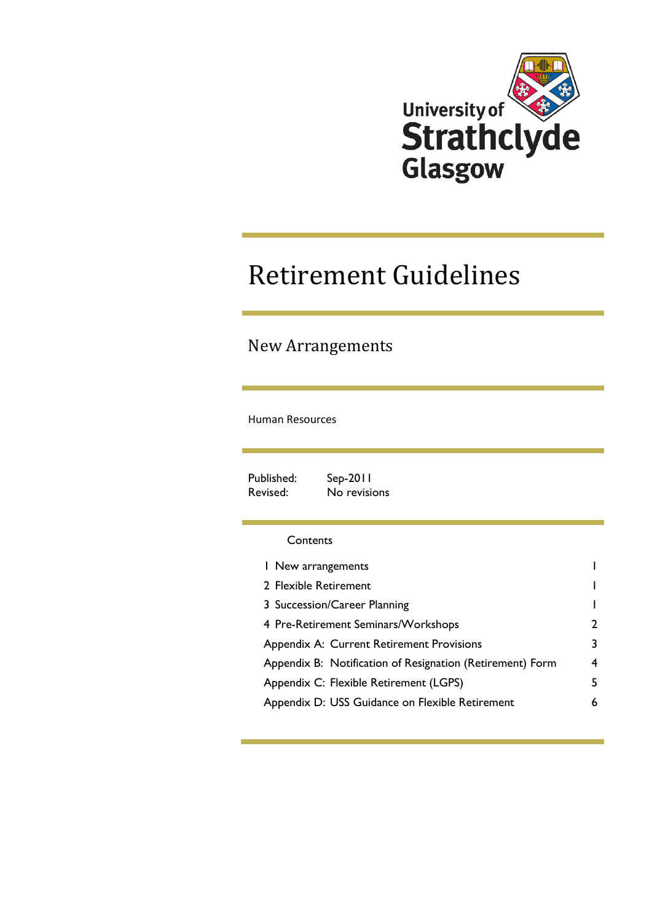

## Retirement Guidelines

## New Arrangements

#### Human Resources

Published: Sep-2011 Revised: No revisions

#### **Contents**

| I New arrangements                                        |   |
|-----------------------------------------------------------|---|
| 2 Flexible Retirement                                     |   |
| 3 Succession/Career Planning                              |   |
| 4 Pre-Retirement Seminars/Workshops                       | 2 |
| Appendix A: Current Retirement Provisions                 | 3 |
| Appendix B: Notification of Resignation (Retirement) Form | 4 |
| Appendix C: Flexible Retirement (LGPS)                    | 5 |
| Appendix D: USS Guidance on Flexible Retirement           | 6 |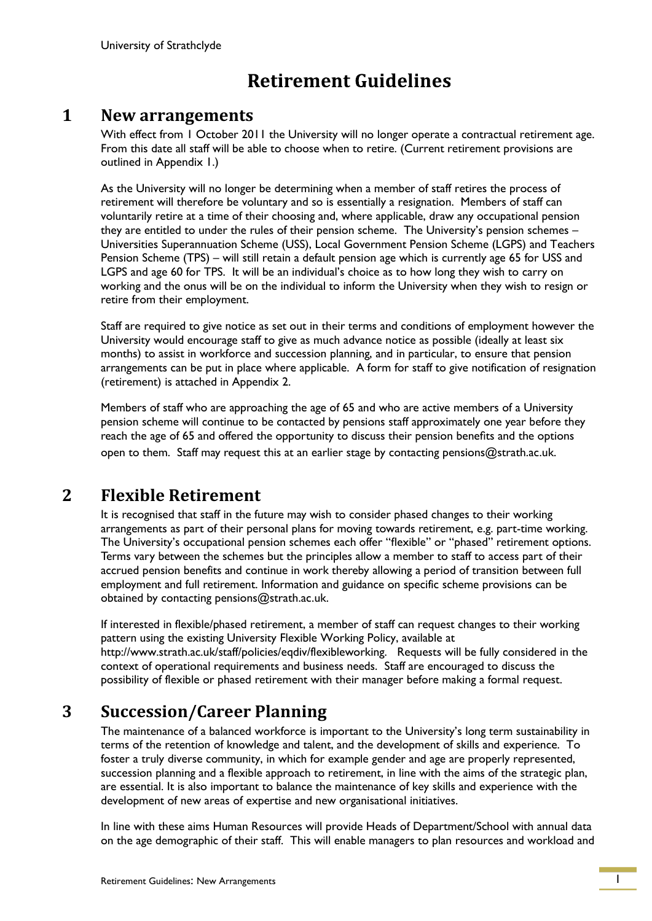## **Retirement Guidelines**

### <span id="page-1-0"></span>**1 New arrangements**

With effect from 1 October 2011 the University will no longer operate a contractual retirement age. From this date all staff will be able to choose when to retire. (Current retirement provisions are outlined in Appendix 1.)

As the University will no longer be determining when a member of staff retires the process of retirement will therefore be voluntary and so is essentially a resignation. Members of staff can voluntarily retire at a time of their choosing and, where applicable, draw any occupational pension they are entitled to under the rules of their pension scheme. The University's pension schemes -Universities Superannuation Scheme (USS), Local Government Pension Scheme (LGPS) and Teachers Pension Scheme (TPS) – will still retain a default pension age which is currently age 65 for USS and LGPS and age 60 for TPS. It will be an individual"s choice as to how long they wish to carry on working and the onus will be on the individual to inform the University when they wish to resign or retire from their employment.

Staff are required to give notice as set out in their terms and conditions of employment however the University would encourage staff to give as much advance notice as possible (ideally at least six months) to assist in workforce and succession planning, and in particular, to ensure that pension arrangements can be put in place where applicable. A form for staff to give notification of resignation (retirement) is attached in Appendix 2.

 Members of staff who are approaching the age of 65 and who are active members of a University pension scheme will continue to be contacted by pensions staff approximately one year before they reach the age of 65 and offered the opportunity to discuss their pension benefits and the options open to them. Staff may request this at an earlier stage by contacting pensions@strath.ac.uk.

## <span id="page-1-1"></span>**2 Flexible Retirement**

 It is recognised that staff in the future may wish to consider phased changes to their working arrangements as part of their personal plans for moving towards retirement, e.g. part-time working. The University's occupational pension schemes each offer "flexible" or "phased" retirement options. Terms vary between the schemes but the principles allow a member to staff to access part of their accrued pension benefits and continue in work thereby allowing a period of transition between full employment and full retirement. Information and guidance on specific scheme provisions can be obtained by contacting pensions@strath.ac.uk.

If interested in flexible/phased retirement, a member of staff can request changes to their working pattern using the existing University Flexible Working Policy, available at http://www.strath.ac.uk/staff/policies/eqdiv/flexibleworking. Requests will be fully considered in the context of operational requirements and business needs. Staff are encouraged to discuss the possibility of flexible or phased retirement with their manager before making a formal request.

## <span id="page-1-2"></span>**3 Succession/Career Planning**

The maintenance of a balanced workforce is important to the University"s long term sustainability in terms of the retention of knowledge and talent, and the development of skills and experience. To foster a truly diverse community, in which for example gender and age are properly represented, succession planning and a flexible approach to retirement, in line with the aims of the strategic plan, are essential. It is also important to balance the maintenance of key skills and experience with the development of new areas of expertise and new organisational initiatives.

In line with these aims Human Resources will provide Heads of Department/School with annual data on the age demographic of their staff. This will enable managers to plan resources and workload and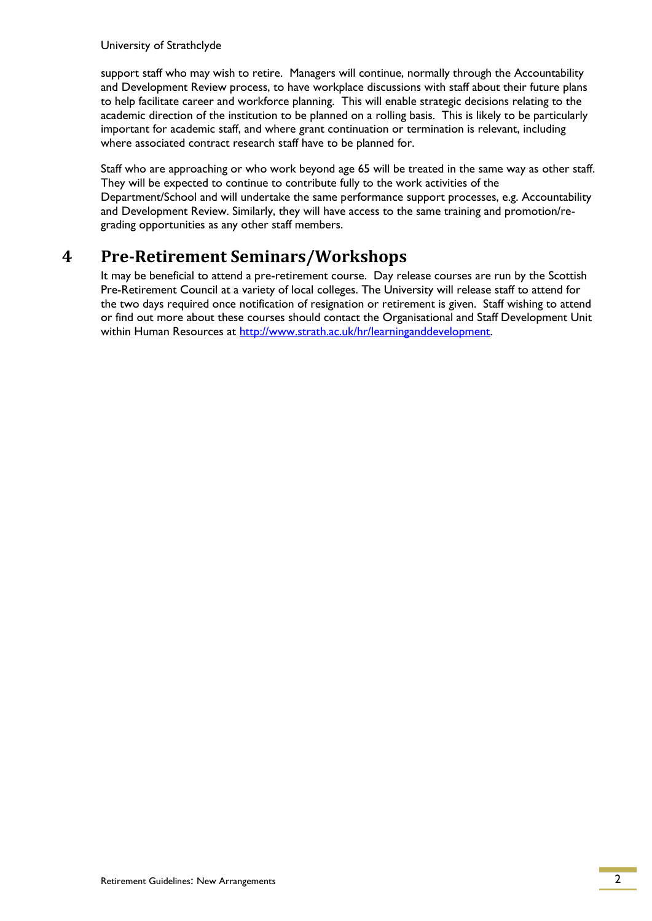University of Strathclyde

support staff who may wish to retire. Managers will continue, normally through the Accountability and Development Review process, to have workplace discussions with staff about their future plans to help facilitate career and workforce planning. This will enable strategic decisions relating to the academic direction of the institution to be planned on a rolling basis. This is likely to be particularly important for academic staff, and where grant continuation or termination is relevant, including where associated contract research staff have to be planned for.

Staff who are approaching or who work beyond age 65 will be treated in the same way as other staff. They will be expected to continue to contribute fully to the work activities of the Department/School and will undertake the same performance support processes, e.g. Accountability and Development Review. Similarly, they will have access to the same training and promotion/regrading opportunities as any other staff members.

## <span id="page-2-0"></span>**4 Pre-Retirement Seminars/Workshops**

It may be beneficial to attend a pre-retirement course. Day release courses are run by the Scottish Pre-Retirement Council at a variety of local colleges. The University will release staff to attend for the two days required once notification of resignation or retirement is given. Staff wishing to attend or find out more about these courses should contact the Organisational and Staff Development Unit within Human Resources at [http://www.strath.ac.uk/hr/learninganddevelopment.](http://www.strath.ac.uk/hr/learninganddevelopment)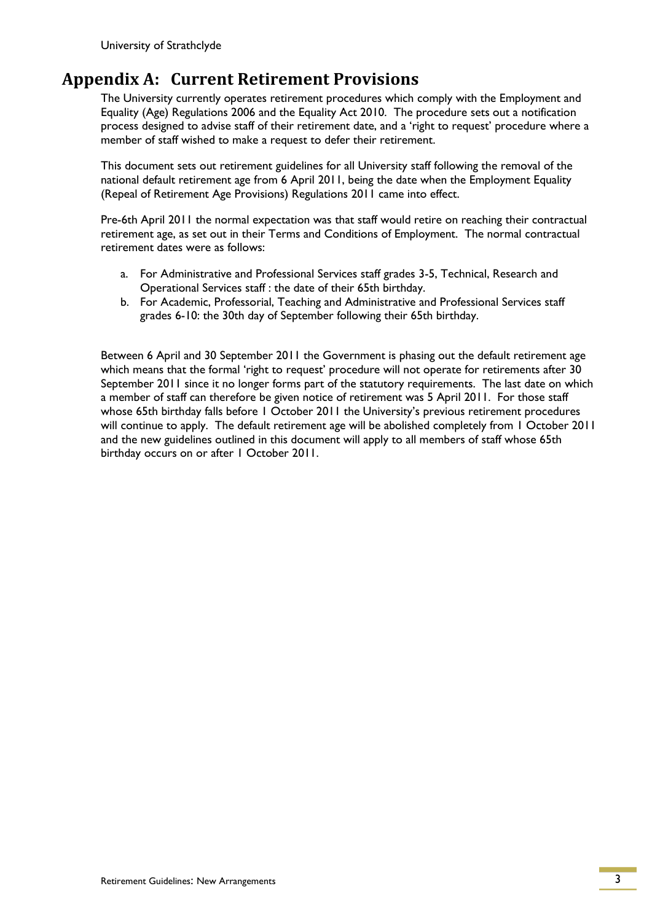## <span id="page-3-0"></span>**Appendix A: Current Retirement Provisions**

The University currently operates retirement procedures which comply with the Employment and Equality (Age) Regulations 2006 and the Equality Act 2010. The procedure sets out a notification process designed to advise staff of their retirement date, and a "right to request" procedure where a member of staff wished to make a request to defer their retirement.

This document sets out retirement guidelines for all University staff following the removal of the national default retirement age from 6 April 2011, being the date when the Employment Equality (Repeal of Retirement Age Provisions) Regulations 2011 came into effect.

Pre-6th April 2011 the normal expectation was that staff would retire on reaching their contractual retirement age, as set out in their Terms and Conditions of Employment. The normal contractual retirement dates were as follows:

- a. For Administrative and Professional Services staff grades 3-5, Technical, Research and Operational Services staff : the date of their 65th birthday.
- b. For Academic, Professorial, Teaching and Administrative and Professional Services staff grades 6-10: the 30th day of September following their 65th birthday.

Between 6 April and 30 September 2011 the Government is phasing out the default retirement age which means that the formal 'right to request' procedure will not operate for retirements after 30 September 2011 since it no longer forms part of the statutory requirements. The last date on which a member of staff can therefore be given notice of retirement was 5 April 2011. For those staff whose 65th birthday falls before 1 October 2011 the University's previous retirement procedures will continue to apply. The default retirement age will be abolished completely from 1 October 2011 and the new guidelines outlined in this document will apply to all members of staff whose 65th birthday occurs on or after 1 October 2011.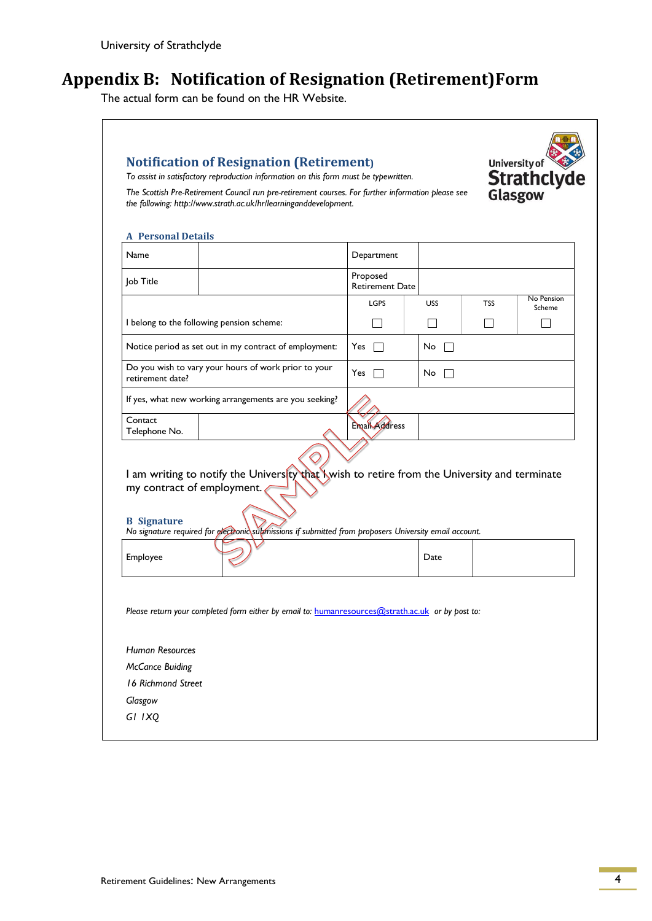## <span id="page-4-0"></span>**Appendix B: Notification of Resignation (Retirement)Form**

The actual form can be found on the HR Website.

| To assist in satisfactory reproduction information on this form must be typewritten.<br>The Scottish Pre-Retirement Council run pre-retirement courses. For further information please see<br>the following: http://www.strath.ac.uk/hr/learninganddevelopment.                                    |                                    |                    |     | <b>Strathclyde</b><br>Glasgow |
|----------------------------------------------------------------------------------------------------------------------------------------------------------------------------------------------------------------------------------------------------------------------------------------------------|------------------------------------|--------------------|-----|-------------------------------|
| <b>A</b> Personal Details<br>Name                                                                                                                                                                                                                                                                  | Department                         |                    |     |                               |
| Job Title                                                                                                                                                                                                                                                                                          | Proposed<br><b>Retirement Date</b> |                    |     |                               |
|                                                                                                                                                                                                                                                                                                    | <b>LGPS</b>                        | <b>USS</b>         | TSS | No Pension<br>Scheme          |
| I belong to the following pension scheme:                                                                                                                                                                                                                                                          |                                    |                    |     |                               |
| Notice period as set out in my contract of employment:                                                                                                                                                                                                                                             | Yes $\Box$                         | No                 |     |                               |
| Do you wish to vary your hours of work prior to your<br>retirement date?                                                                                                                                                                                                                           | Yes $\Box$                         | No<br>$\mathbf{I}$ |     |                               |
| If yes, what new working arrangements are you seeking?                                                                                                                                                                                                                                             |                                    |                    |     |                               |
|                                                                                                                                                                                                                                                                                                    |                                    |                    |     |                               |
|                                                                                                                                                                                                                                                                                                    | <b>Email Address</b>               |                    |     |                               |
|                                                                                                                                                                                                                                                                                                    |                                    |                    |     |                               |
| Contact<br>Telephone No.<br>I am writing to notify the University that Nwish to retire from the University and terminate<br>my contract of employment.<br><b>B</b> Signature<br>No signature required for electronic submissions if submitted from proposers University email account.<br>Employee |                                    | Date               |     |                               |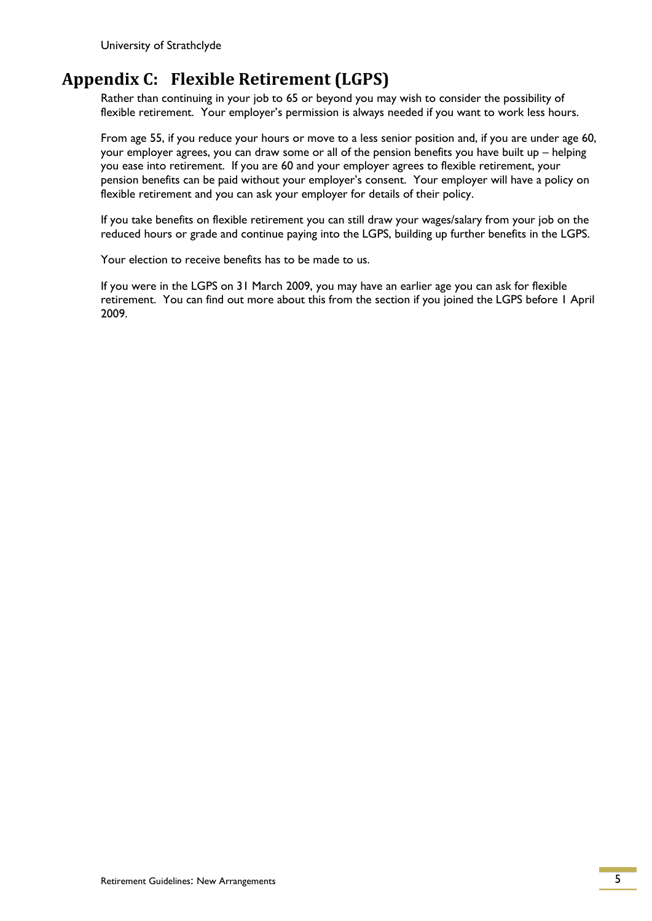University of Strathclyde

## <span id="page-5-0"></span>**Appendix C: Flexible Retirement (LGPS)**

Rather than continuing in your job to 65 or beyond you may wish to consider the possibility of flexible retirement. Your employer's permission is always needed if you want to work less hours.

From age 55, if you reduce your hours or move to a less senior position and, if you are under age 60, your employer agrees, you can draw some or all of the pension benefits you have built up – helping you ease into retirement. If you are 60 and your employer agrees to flexible retirement, your pension benefits can be paid without your employer"s consent. Your employer will have a policy on flexible retirement and you can ask your employer for details of their policy.

If you take benefits on flexible retirement you can still draw your wages/salary from your job on the reduced hours or grade and continue paying into the LGPS, building up further benefits in the LGPS.

Your election to receive benefits has to be made to us.

If you were in the LGPS on 31 March 2009, you may have an earlier age you can ask for flexible retirement. You can find out more about this from the section if you joined the LGPS before 1 April 2009.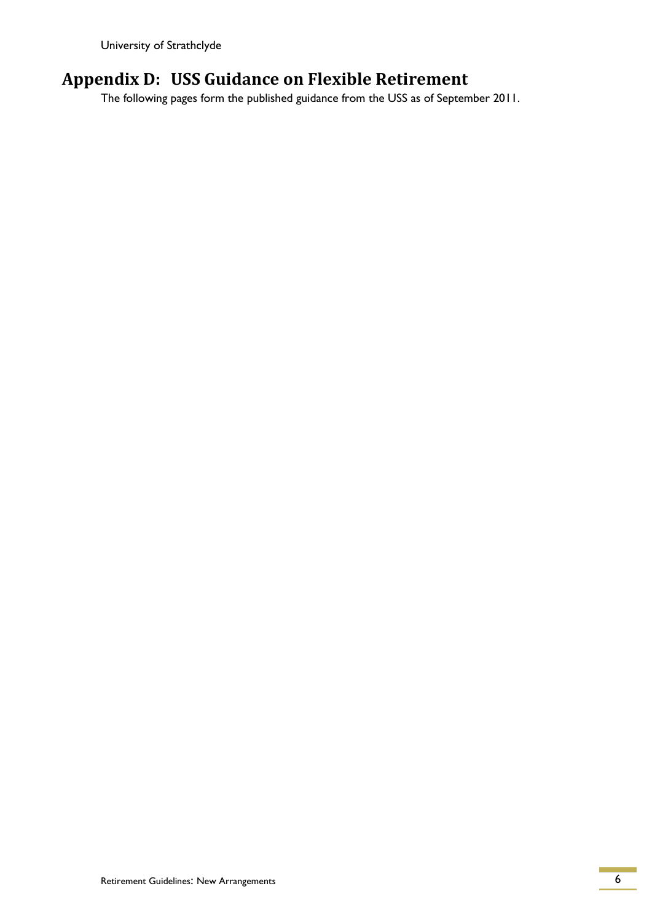University of Strathclyde

## <span id="page-6-0"></span>**Appendix D: USS Guidance on Flexible Retirement**

The following pages form the published guidance from the USS as of September 2011.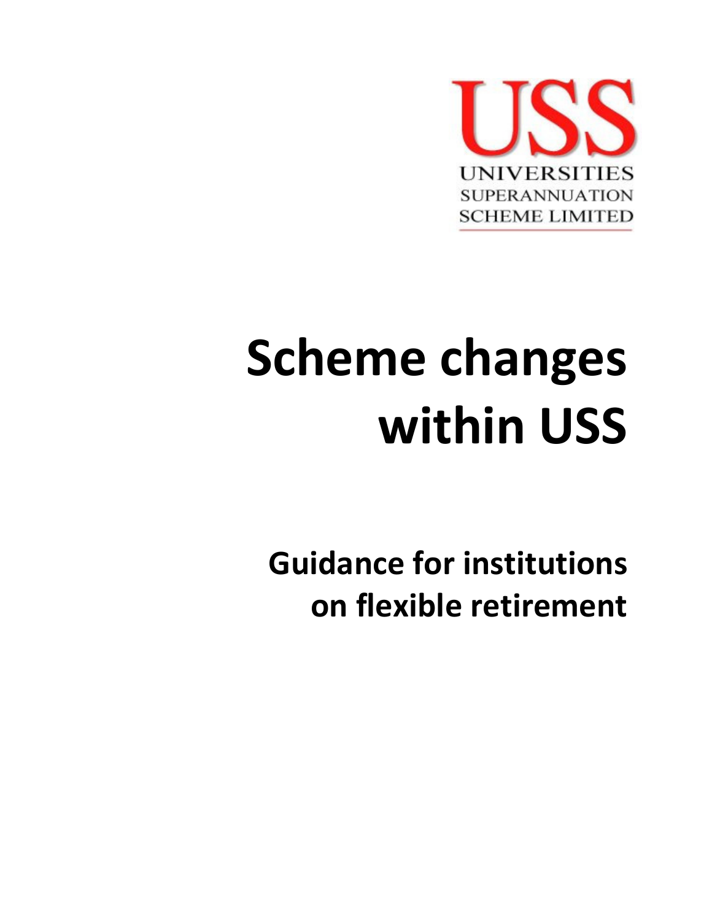

# Scheme changes within USS

Guidance for institutions on flexible retirement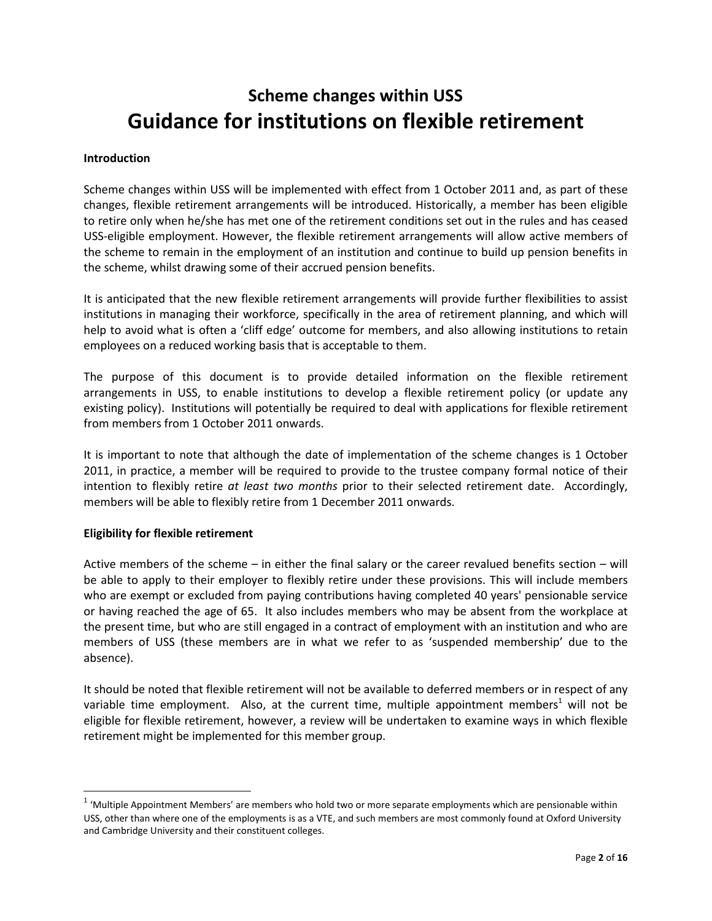## Scheme changes within USS Guidance for institutions on flexible retirement

#### Introduction

Scheme changes within USS will be implemented with effect from 1 October 2011 and, as part of these changes, flexible retirement arrangements will be introduced. Historically, a member has been eligible to retire only when he/she has met one of the retirement conditions set out in the rules and has ceased USS-eligible employment. However, the flexible retirement arrangements will allow active members of the scheme to remain in the employment of an institution and continue to build up pension benefits in the scheme, whilst drawing some of their accrued pension benefits.

It is anticipated that the new flexible retirement arrangements will provide further flexibilities to assist institutions in managing their workforce, specifically in the area of retirement planning, and which will help to avoid what is often a 'cliff edge' outcome for members, and also allowing institutions to retain employees on a reduced working basis that is acceptable to them.

The purpose of this document is to provide detailed information on the flexible retirement arrangements in USS, to enable institutions to develop a flexible retirement policy (or update any existing policy). Institutions will potentially be required to deal with applications for flexible retirement from members from 1 October 2011 onwards.

It is important to note that although the date of implementation of the scheme changes is 1 October 2011, in practice, a member will be required to provide to the trustee company formal notice of their intention to flexibly retire at least two months prior to their selected retirement date. Accordingly, members will be able to flexibly retire from 1 December 2011 onwards.

#### Eligibility for flexible retirement

l

Active members of the scheme – in either the final salary or the career revalued benefits section – will be able to apply to their employer to flexibly retire under these provisions. This will include members who are exempt or excluded from paying contributions having completed 40 years' pensionable service or having reached the age of 65. It also includes members who may be absent from the workplace at the present time, but who are still engaged in a contract of employment with an institution and who are members of USS (these members are in what we refer to as 'suspended membership' due to the absence).

It should be noted that flexible retirement will not be available to deferred members or in respect of any variable time employment. Also, at the current time, multiple appointment members<sup>1</sup> will not be eligible for flexible retirement, however, a review will be undertaken to examine ways in which flexible retirement might be implemented for this member group.

<sup>&</sup>lt;sup>1</sup> 'Multiple Appointment Members' are members who hold two or more separate employments which are pensionable within USS, other than where one of the employments is as a VTE, and such members are most commonly found at Oxford University and Cambridge University and their constituent colleges.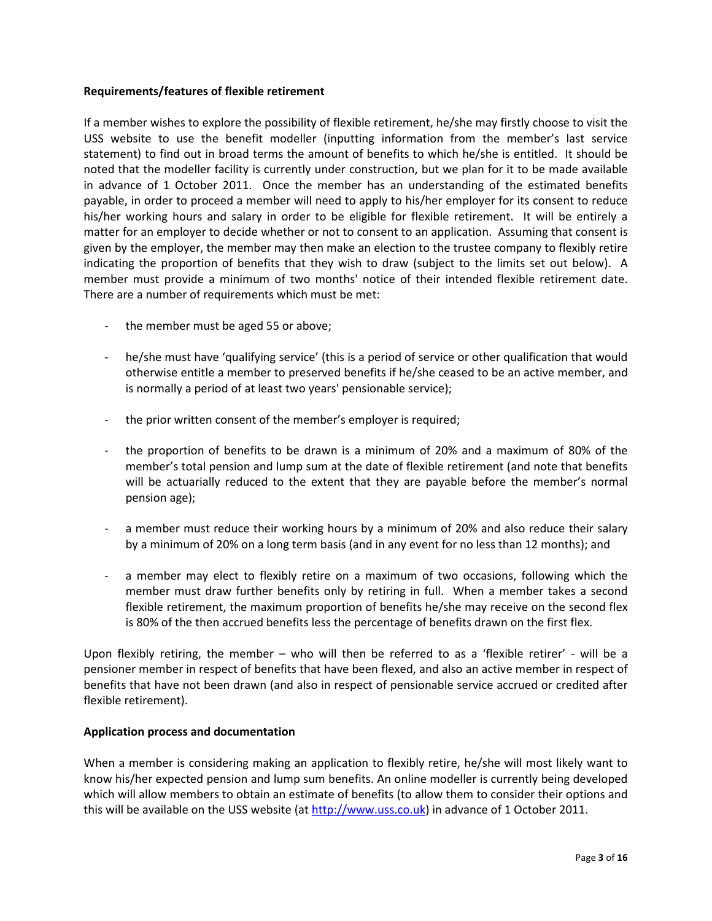#### Requirements/features of flexible retirement

If a member wishes to explore the possibility of flexible retirement, he/she may firstly choose to visit the USS website to use the benefit modeller (inputting information from the member's last service statement) to find out in broad terms the amount of benefits to which he/she is entitled. It should be noted that the modeller facility is currently under construction, but we plan for it to be made available in advance of 1 October 2011. Once the member has an understanding of the estimated benefits payable, in order to proceed a member will need to apply to his/her employer for its consent to reduce his/her working hours and salary in order to be eligible for flexible retirement. It will be entirely a matter for an employer to decide whether or not to consent to an application. Assuming that consent is given by the employer, the member may then make an election to the trustee company to flexibly retire indicating the proportion of benefits that they wish to draw (subject to the limits set out below). A member must provide a minimum of two months' notice of their intended flexible retirement date. There are a number of requirements which must be met:

- the member must be aged 55 or above;
- he/she must have 'qualifying service' (this is a period of service or other qualification that would otherwise entitle a member to preserved benefits if he/she ceased to be an active member, and is normally a period of at least two years' pensionable service);
- the prior written consent of the member's employer is required;
- the proportion of benefits to be drawn is a minimum of 20% and a maximum of 80% of the member's total pension and lump sum at the date of flexible retirement (and note that benefits will be actuarially reduced to the extent that they are payable before the member's normal pension age);
- a member must reduce their working hours by a minimum of 20% and also reduce their salary by a minimum of 20% on a long term basis (and in any event for no less than 12 months); and
- a member may elect to flexibly retire on a maximum of two occasions, following which the member must draw further benefits only by retiring in full. When a member takes a second flexible retirement, the maximum proportion of benefits he/she may receive on the second flex is 80% of the then accrued benefits less the percentage of benefits drawn on the first flex.

Upon flexibly retiring, the member – who will then be referred to as a 'flexible retirer' - will be a pensioner member in respect of benefits that have been flexed, and also an active member in respect of benefits that have not been drawn (and also in respect of pensionable service accrued or credited after flexible retirement).

#### Application process and documentation

When a member is considering making an application to flexibly retire, he/she will most likely want to know his/her expected pension and lump sum benefits. An online modeller is currently being developed which will allow members to obtain an estimate of benefits (to allow them to consider their options and this will be available on the USS website (at http://www.uss.co.uk) in advance of 1 October 2011.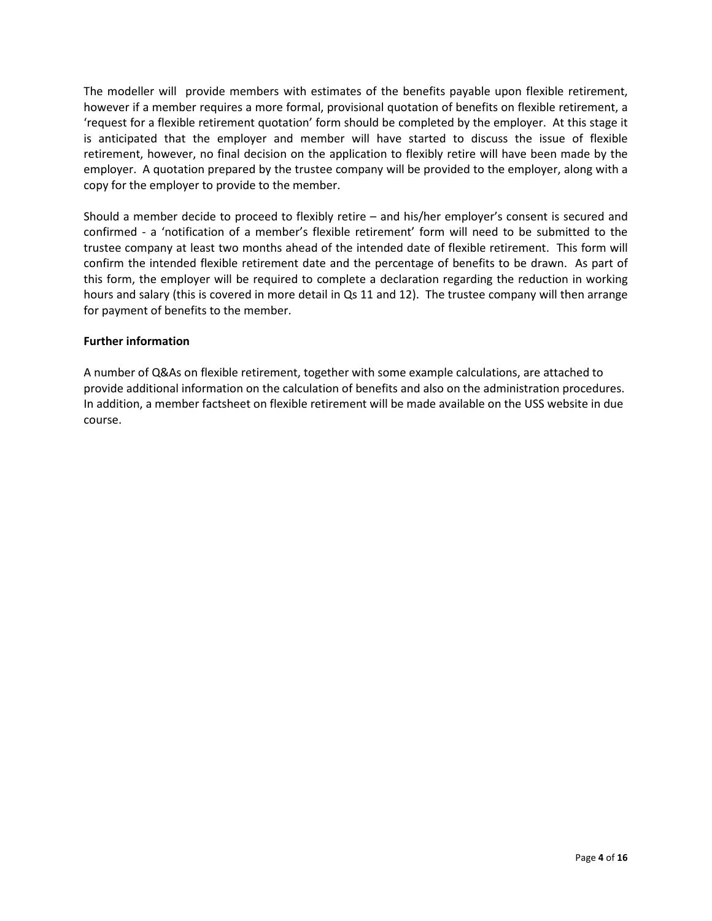The modeller will provide members with estimates of the benefits payable upon flexible retirement, however if a member requires a more formal, provisional quotation of benefits on flexible retirement, a 'request for a flexible retirement quotation' form should be completed by the employer. At this stage it is anticipated that the employer and member will have started to discuss the issue of flexible retirement, however, no final decision on the application to flexibly retire will have been made by the employer. A quotation prepared by the trustee company will be provided to the employer, along with a copy for the employer to provide to the member.

Should a member decide to proceed to flexibly retire – and his/her employer's consent is secured and confirmed - a 'notification of a member's flexible retirement' form will need to be submitted to the trustee company at least two months ahead of the intended date of flexible retirement. This form will confirm the intended flexible retirement date and the percentage of benefits to be drawn. As part of this form, the employer will be required to complete a declaration regarding the reduction in working hours and salary (this is covered in more detail in Qs 11 and 12). The trustee company will then arrange for payment of benefits to the member.

#### Further information

A number of Q&As on flexible retirement, together with some example calculations, are attached to provide additional information on the calculation of benefits and also on the administration procedures. In addition, a member factsheet on flexible retirement will be made available on the USS website in due course.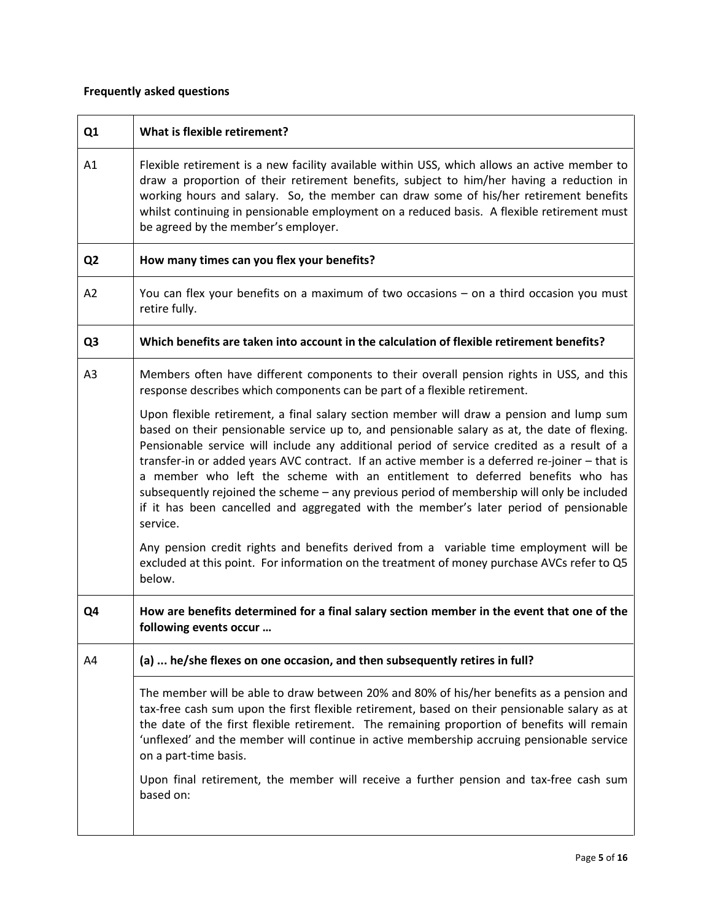#### Frequently asked questions

| Q <sub>1</sub> | What is flexible retirement?                                                                                                                                                                                                                                                                                                                                                                                                                                                                                                                                                                                                                                                  |  |  |  |
|----------------|-------------------------------------------------------------------------------------------------------------------------------------------------------------------------------------------------------------------------------------------------------------------------------------------------------------------------------------------------------------------------------------------------------------------------------------------------------------------------------------------------------------------------------------------------------------------------------------------------------------------------------------------------------------------------------|--|--|--|
| A1             | Flexible retirement is a new facility available within USS, which allows an active member to<br>draw a proportion of their retirement benefits, subject to him/her having a reduction in<br>working hours and salary. So, the member can draw some of his/her retirement benefits<br>whilst continuing in pensionable employment on a reduced basis. A flexible retirement must<br>be agreed by the member's employer.                                                                                                                                                                                                                                                        |  |  |  |
| Q <sub>2</sub> | How many times can you flex your benefits?                                                                                                                                                                                                                                                                                                                                                                                                                                                                                                                                                                                                                                    |  |  |  |
| A <sub>2</sub> | You can flex your benefits on a maximum of two occasions - on a third occasion you must<br>retire fully.                                                                                                                                                                                                                                                                                                                                                                                                                                                                                                                                                                      |  |  |  |
| Q <sub>3</sub> | Which benefits are taken into account in the calculation of flexible retirement benefits?                                                                                                                                                                                                                                                                                                                                                                                                                                                                                                                                                                                     |  |  |  |
| A <sub>3</sub> | Members often have different components to their overall pension rights in USS, and this<br>response describes which components can be part of a flexible retirement.                                                                                                                                                                                                                                                                                                                                                                                                                                                                                                         |  |  |  |
|                | Upon flexible retirement, a final salary section member will draw a pension and lump sum<br>based on their pensionable service up to, and pensionable salary as at, the date of flexing.<br>Pensionable service will include any additional period of service credited as a result of a<br>transfer-in or added years AVC contract. If an active member is a deferred re-joiner - that is<br>a member who left the scheme with an entitlement to deferred benefits who has<br>subsequently rejoined the scheme - any previous period of membership will only be included<br>if it has been cancelled and aggregated with the member's later period of pensionable<br>service. |  |  |  |
|                | Any pension credit rights and benefits derived from a variable time employment will be<br>excluded at this point. For information on the treatment of money purchase AVCs refer to Q5<br>below.                                                                                                                                                                                                                                                                                                                                                                                                                                                                               |  |  |  |
| Q4             | How are benefits determined for a final salary section member in the event that one of the<br>following events occur                                                                                                                                                                                                                                                                                                                                                                                                                                                                                                                                                          |  |  |  |
| A4             | (a)  he/she flexes on one occasion, and then subsequently retires in full?                                                                                                                                                                                                                                                                                                                                                                                                                                                                                                                                                                                                    |  |  |  |
|                | The member will be able to draw between 20% and 80% of his/her benefits as a pension and<br>tax-free cash sum upon the first flexible retirement, based on their pensionable salary as at<br>the date of the first flexible retirement. The remaining proportion of benefits will remain<br>'unflexed' and the member will continue in active membership accruing pensionable service<br>on a part-time basis.                                                                                                                                                                                                                                                                |  |  |  |
|                | Upon final retirement, the member will receive a further pension and tax-free cash sum<br>based on:                                                                                                                                                                                                                                                                                                                                                                                                                                                                                                                                                                           |  |  |  |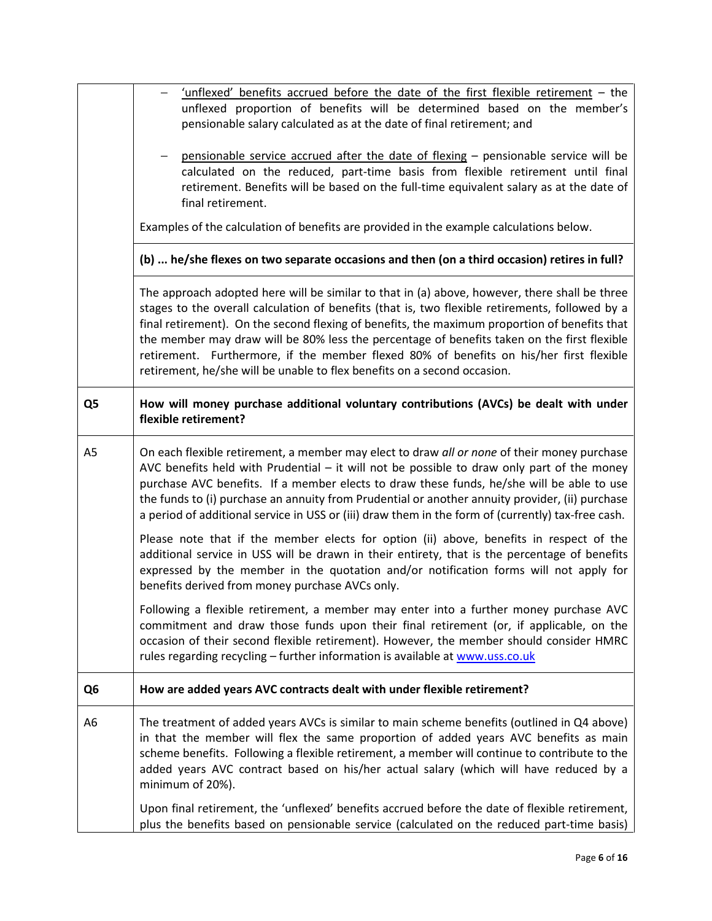|                                                                                                                                                                                                                                                                                        | 'unflexed' benefits accrued before the date of the first flexible retirement - the<br>unflexed proportion of benefits will be determined based on the member's<br>pensionable salary calculated as at the date of final retirement; and                                                                                                                                                                                                                                                                                                                                 |  |  |  |
|----------------------------------------------------------------------------------------------------------------------------------------------------------------------------------------------------------------------------------------------------------------------------------------|-------------------------------------------------------------------------------------------------------------------------------------------------------------------------------------------------------------------------------------------------------------------------------------------------------------------------------------------------------------------------------------------------------------------------------------------------------------------------------------------------------------------------------------------------------------------------|--|--|--|
| pensionable service accrued after the date of flexing - pensionable service will be<br>calculated on the reduced, part-time basis from flexible retirement until final<br>retirement. Benefits will be based on the full-time equivalent salary as at the date of<br>final retirement. |                                                                                                                                                                                                                                                                                                                                                                                                                                                                                                                                                                         |  |  |  |
|                                                                                                                                                                                                                                                                                        | Examples of the calculation of benefits are provided in the example calculations below.                                                                                                                                                                                                                                                                                                                                                                                                                                                                                 |  |  |  |
|                                                                                                                                                                                                                                                                                        | (b)  he/she flexes on two separate occasions and then (on a third occasion) retires in full?                                                                                                                                                                                                                                                                                                                                                                                                                                                                            |  |  |  |
|                                                                                                                                                                                                                                                                                        | The approach adopted here will be similar to that in (a) above, however, there shall be three<br>stages to the overall calculation of benefits (that is, two flexible retirements, followed by a<br>final retirement). On the second flexing of benefits, the maximum proportion of benefits that<br>the member may draw will be 80% less the percentage of benefits taken on the first flexible<br>retirement. Furthermore, if the member flexed 80% of benefits on his/her first flexible<br>retirement, he/she will be unable to flex benefits on a second occasion. |  |  |  |
| Q5                                                                                                                                                                                                                                                                                     | How will money purchase additional voluntary contributions (AVCs) be dealt with under<br>flexible retirement?                                                                                                                                                                                                                                                                                                                                                                                                                                                           |  |  |  |
| A5                                                                                                                                                                                                                                                                                     | On each flexible retirement, a member may elect to draw all or none of their money purchase<br>AVC benefits held with Prudential - it will not be possible to draw only part of the money<br>purchase AVC benefits. If a member elects to draw these funds, he/she will be able to use<br>the funds to (i) purchase an annuity from Prudential or another annuity provider, (ii) purchase<br>a period of additional service in USS or (iii) draw them in the form of (currently) tax-free cash.                                                                         |  |  |  |
|                                                                                                                                                                                                                                                                                        | Please note that if the member elects for option (ii) above, benefits in respect of the<br>additional service in USS will be drawn in their entirety, that is the percentage of benefits<br>expressed by the member in the quotation and/or notification forms will not apply for<br>benefits derived from money purchase AVCs only.                                                                                                                                                                                                                                    |  |  |  |
|                                                                                                                                                                                                                                                                                        | Following a flexible retirement, a member may enter into a further money purchase AVC<br>commitment and draw those funds upon their final retirement (or, if applicable, on the<br>occasion of their second flexible retirement). However, the member should consider HMRC<br>rules regarding recycling - further information is available at www.uss.co.uk                                                                                                                                                                                                             |  |  |  |
| Q <sub>6</sub>                                                                                                                                                                                                                                                                         | How are added years AVC contracts dealt with under flexible retirement?                                                                                                                                                                                                                                                                                                                                                                                                                                                                                                 |  |  |  |
| A6                                                                                                                                                                                                                                                                                     | The treatment of added years AVCs is similar to main scheme benefits (outlined in Q4 above)<br>in that the member will flex the same proportion of added years AVC benefits as main<br>scheme benefits. Following a flexible retirement, a member will continue to contribute to the<br>added years AVC contract based on his/her actual salary (which will have reduced by a<br>minimum of 20%).                                                                                                                                                                       |  |  |  |
|                                                                                                                                                                                                                                                                                        | Upon final retirement, the 'unflexed' benefits accrued before the date of flexible retirement,<br>plus the benefits based on pensionable service (calculated on the reduced part-time basis)                                                                                                                                                                                                                                                                                                                                                                            |  |  |  |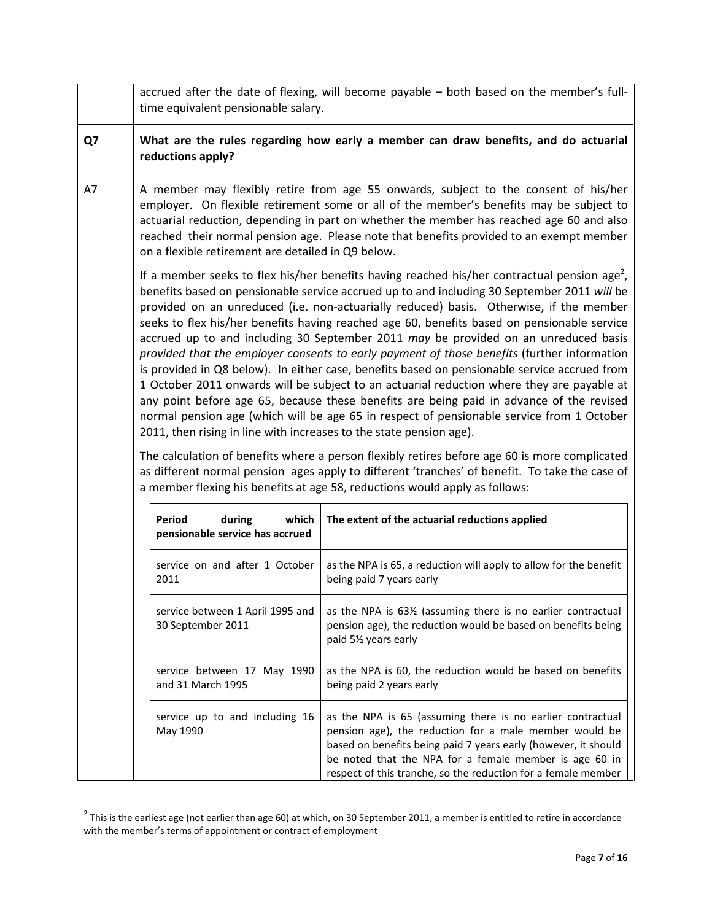|    | accrued after the date of flexing, will become payable - both based on the member's full-<br>time equivalent pensionable salary.                                                                                                                                                                                                                                                                                                                                                                                                                                                                                                                                                                                                                                                                                                                                                                                                                                                                                                                                                                                                                                                                                                                                                                                                        |                                                                                                                                                                                                                                                                                                                   |  |  |  |
|----|-----------------------------------------------------------------------------------------------------------------------------------------------------------------------------------------------------------------------------------------------------------------------------------------------------------------------------------------------------------------------------------------------------------------------------------------------------------------------------------------------------------------------------------------------------------------------------------------------------------------------------------------------------------------------------------------------------------------------------------------------------------------------------------------------------------------------------------------------------------------------------------------------------------------------------------------------------------------------------------------------------------------------------------------------------------------------------------------------------------------------------------------------------------------------------------------------------------------------------------------------------------------------------------------------------------------------------------------|-------------------------------------------------------------------------------------------------------------------------------------------------------------------------------------------------------------------------------------------------------------------------------------------------------------------|--|--|--|
| Q7 | What are the rules regarding how early a member can draw benefits, and do actuarial<br>reductions apply?                                                                                                                                                                                                                                                                                                                                                                                                                                                                                                                                                                                                                                                                                                                                                                                                                                                                                                                                                                                                                                                                                                                                                                                                                                |                                                                                                                                                                                                                                                                                                                   |  |  |  |
| A7 | A member may flexibly retire from age 55 onwards, subject to the consent of his/her<br>employer. On flexible retirement some or all of the member's benefits may be subject to<br>actuarial reduction, depending in part on whether the member has reached age 60 and also<br>reached their normal pension age. Please note that benefits provided to an exempt member<br>on a flexible retirement are detailed in Q9 below.                                                                                                                                                                                                                                                                                                                                                                                                                                                                                                                                                                                                                                                                                                                                                                                                                                                                                                            |                                                                                                                                                                                                                                                                                                                   |  |  |  |
|    | If a member seeks to flex his/her benefits having reached his/her contractual pension age <sup>2</sup> ,<br>benefits based on pensionable service accrued up to and including 30 September 2011 will be<br>provided on an unreduced (i.e. non-actuarially reduced) basis. Otherwise, if the member<br>seeks to flex his/her benefits having reached age 60, benefits based on pensionable service<br>accrued up to and including 30 September 2011 may be provided on an unreduced basis<br>provided that the employer consents to early payment of those benefits (further information<br>is provided in Q8 below). In either case, benefits based on pensionable service accrued from<br>1 October 2011 onwards will be subject to an actuarial reduction where they are payable at<br>any point before age 65, because these benefits are being paid in advance of the revised<br>normal pension age (which will be age 65 in respect of pensionable service from 1 October<br>2011, then rising in line with increases to the state pension age).<br>The calculation of benefits where a person flexibly retires before age 60 is more complicated<br>as different normal pension ages apply to different 'tranches' of benefit. To take the case of<br>a member flexing his benefits at age 58, reductions would apply as follows: |                                                                                                                                                                                                                                                                                                                   |  |  |  |
|    | Period<br>during<br>which<br>pensionable service has accrued                                                                                                                                                                                                                                                                                                                                                                                                                                                                                                                                                                                                                                                                                                                                                                                                                                                                                                                                                                                                                                                                                                                                                                                                                                                                            | The extent of the actuarial reductions applied                                                                                                                                                                                                                                                                    |  |  |  |
|    | service on and after 1 October<br>2011                                                                                                                                                                                                                                                                                                                                                                                                                                                                                                                                                                                                                                                                                                                                                                                                                                                                                                                                                                                                                                                                                                                                                                                                                                                                                                  | as the NPA is 65, a reduction will apply to allow for the benefit<br>being paid 7 years early                                                                                                                                                                                                                     |  |  |  |
|    | service between 1 April 1995 and<br>30 September 2011                                                                                                                                                                                                                                                                                                                                                                                                                                                                                                                                                                                                                                                                                                                                                                                                                                                                                                                                                                                                                                                                                                                                                                                                                                                                                   | as the NPA is 631/2 (assuming there is no earlier contractual<br>pension age), the reduction would be based on benefits being<br>paid 51/ <sub>2</sub> years early                                                                                                                                                |  |  |  |
|    | service between 17 May 1990<br>and 31 March 1995                                                                                                                                                                                                                                                                                                                                                                                                                                                                                                                                                                                                                                                                                                                                                                                                                                                                                                                                                                                                                                                                                                                                                                                                                                                                                        | as the NPA is 60, the reduction would be based on benefits<br>being paid 2 years early                                                                                                                                                                                                                            |  |  |  |
|    | service up to and including 16<br>May 1990                                                                                                                                                                                                                                                                                                                                                                                                                                                                                                                                                                                                                                                                                                                                                                                                                                                                                                                                                                                                                                                                                                                                                                                                                                                                                              | as the NPA is 65 (assuming there is no earlier contractual<br>pension age), the reduction for a male member would be<br>based on benefits being paid 7 years early (however, it should<br>be noted that the NPA for a female member is age 60 in<br>respect of this tranche, so the reduction for a female member |  |  |  |

<sup>&</sup>lt;u>2</u><br><sup>2</sup> This is the earliest age (not earlier than age 60) at which, on 30 September 2011, a member is entitled to retire in accordance with the member's terms of appointment or contract of employment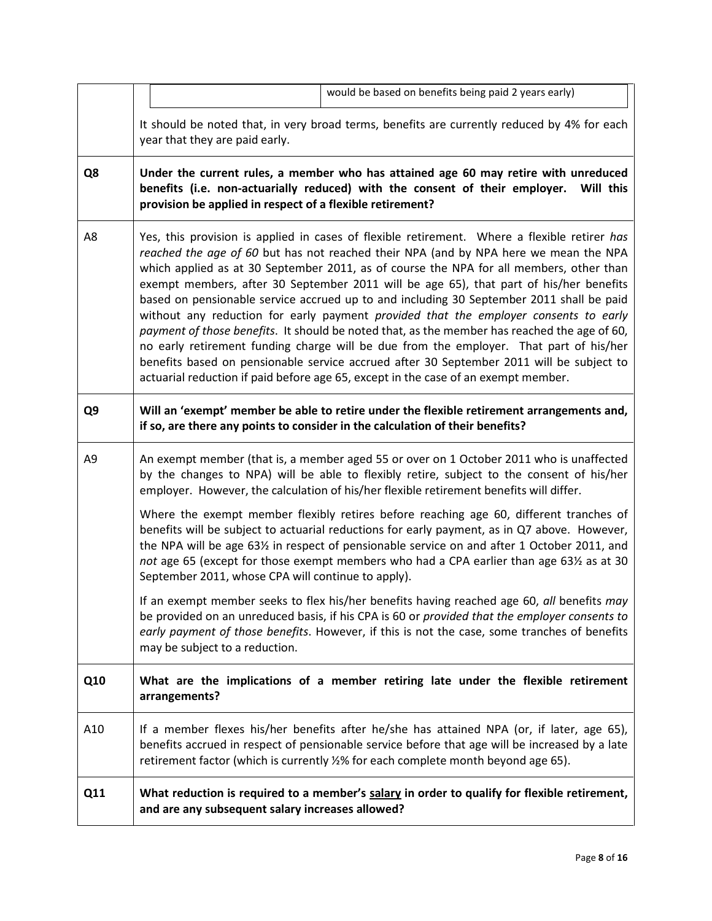|     |                                                                                                                                                                                                                                              |                                                    | would be based on benefits being paid 2 years early)                                                                                                                                                                                                                                                                                                                                                                                                                                                                                                                                                                                                                                                                                                                                                                                                                                                                                      |  |  |
|-----|----------------------------------------------------------------------------------------------------------------------------------------------------------------------------------------------------------------------------------------------|----------------------------------------------------|-------------------------------------------------------------------------------------------------------------------------------------------------------------------------------------------------------------------------------------------------------------------------------------------------------------------------------------------------------------------------------------------------------------------------------------------------------------------------------------------------------------------------------------------------------------------------------------------------------------------------------------------------------------------------------------------------------------------------------------------------------------------------------------------------------------------------------------------------------------------------------------------------------------------------------------------|--|--|
|     |                                                                                                                                                                                                                                              | year that they are paid early.                     | It should be noted that, in very broad terms, benefits are currently reduced by 4% for each                                                                                                                                                                                                                                                                                                                                                                                                                                                                                                                                                                                                                                                                                                                                                                                                                                               |  |  |
| Q8  | Under the current rules, a member who has attained age 60 may retire with unreduced<br>benefits (i.e. non-actuarially reduced) with the consent of their employer.<br>Will this<br>provision be applied in respect of a flexible retirement? |                                                    |                                                                                                                                                                                                                                                                                                                                                                                                                                                                                                                                                                                                                                                                                                                                                                                                                                                                                                                                           |  |  |
| A8  |                                                                                                                                                                                                                                              |                                                    | Yes, this provision is applied in cases of flexible retirement. Where a flexible retirer has<br>reached the age of 60 but has not reached their NPA (and by NPA here we mean the NPA<br>which applied as at 30 September 2011, as of course the NPA for all members, other than<br>exempt members, after 30 September 2011 will be age 65), that part of his/her benefits<br>based on pensionable service accrued up to and including 30 September 2011 shall be paid<br>without any reduction for early payment provided that the employer consents to early<br>payment of those benefits. It should be noted that, as the member has reached the age of 60,<br>no early retirement funding charge will be due from the employer. That part of his/her<br>benefits based on pensionable service accrued after 30 September 2011 will be subject to<br>actuarial reduction if paid before age 65, except in the case of an exempt member. |  |  |
| Q9  |                                                                                                                                                                                                                                              |                                                    | Will an 'exempt' member be able to retire under the flexible retirement arrangements and,<br>if so, are there any points to consider in the calculation of their benefits?                                                                                                                                                                                                                                                                                                                                                                                                                                                                                                                                                                                                                                                                                                                                                                |  |  |
| A9  |                                                                                                                                                                                                                                              |                                                    | An exempt member (that is, a member aged 55 or over on 1 October 2011 who is unaffected<br>by the changes to NPA) will be able to flexibly retire, subject to the consent of his/her<br>employer. However, the calculation of his/her flexible retirement benefits will differ.                                                                                                                                                                                                                                                                                                                                                                                                                                                                                                                                                                                                                                                           |  |  |
|     |                                                                                                                                                                                                                                              | September 2011, whose CPA will continue to apply). | Where the exempt member flexibly retires before reaching age 60, different tranches of<br>benefits will be subject to actuarial reductions for early payment, as in Q7 above. However,<br>the NPA will be age 631/2 in respect of pensionable service on and after 1 October 2011, and<br>not age 65 (except for those exempt members who had a CPA earlier than age 631/2 as at 30                                                                                                                                                                                                                                                                                                                                                                                                                                                                                                                                                       |  |  |
|     |                                                                                                                                                                                                                                              | may be subject to a reduction.                     | If an exempt member seeks to flex his/her benefits having reached age 60, all benefits may<br>be provided on an unreduced basis, if his CPA is 60 or provided that the employer consents to<br>early payment of those benefits. However, if this is not the case, some tranches of benefits                                                                                                                                                                                                                                                                                                                                                                                                                                                                                                                                                                                                                                               |  |  |
| Q10 |                                                                                                                                                                                                                                              | arrangements?                                      | What are the implications of a member retiring late under the flexible retirement                                                                                                                                                                                                                                                                                                                                                                                                                                                                                                                                                                                                                                                                                                                                                                                                                                                         |  |  |
| A10 |                                                                                                                                                                                                                                              |                                                    | If a member flexes his/her benefits after he/she has attained NPA (or, if later, age 65),<br>benefits accrued in respect of pensionable service before that age will be increased by a late<br>retirement factor (which is currently 1/2% for each complete month beyond age 65).                                                                                                                                                                                                                                                                                                                                                                                                                                                                                                                                                                                                                                                         |  |  |
| Q11 |                                                                                                                                                                                                                                              | and are any subsequent salary increases allowed?   | What reduction is required to a member's salary in order to qualify for flexible retirement,                                                                                                                                                                                                                                                                                                                                                                                                                                                                                                                                                                                                                                                                                                                                                                                                                                              |  |  |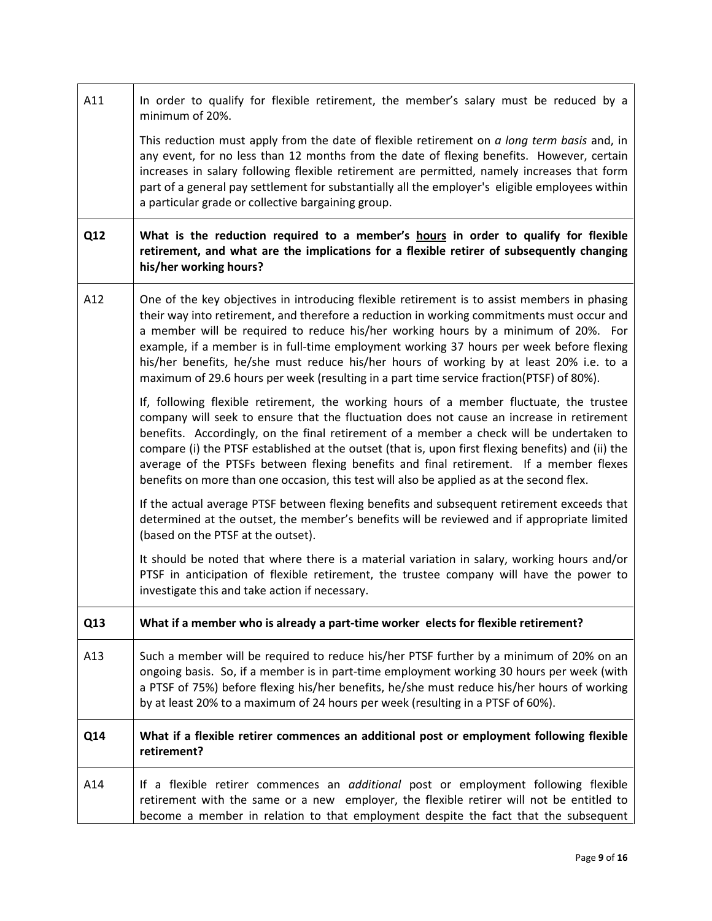| A11 | In order to qualify for flexible retirement, the member's salary must be reduced by a<br>minimum of 20%.                                                                                                                                                                                                                                                                                                                                                                                                                                                                      |
|-----|-------------------------------------------------------------------------------------------------------------------------------------------------------------------------------------------------------------------------------------------------------------------------------------------------------------------------------------------------------------------------------------------------------------------------------------------------------------------------------------------------------------------------------------------------------------------------------|
|     | This reduction must apply from the date of flexible retirement on a long term basis and, in<br>any event, for no less than 12 months from the date of flexing benefits. However, certain<br>increases in salary following flexible retirement are permitted, namely increases that form<br>part of a general pay settlement for substantially all the employer's eligible employees within<br>a particular grade or collective bargaining group.                                                                                                                              |
| Q12 | What is the reduction required to a member's hours in order to qualify for flexible<br>retirement, and what are the implications for a flexible retirer of subsequently changing<br>his/her working hours?                                                                                                                                                                                                                                                                                                                                                                    |
| A12 | One of the key objectives in introducing flexible retirement is to assist members in phasing<br>their way into retirement, and therefore a reduction in working commitments must occur and<br>a member will be required to reduce his/her working hours by a minimum of 20%. For<br>example, if a member is in full-time employment working 37 hours per week before flexing<br>his/her benefits, he/she must reduce his/her hours of working by at least 20% i.e. to a<br>maximum of 29.6 hours per week (resulting in a part time service fraction(PTSF) of 80%).           |
|     | If, following flexible retirement, the working hours of a member fluctuate, the trustee<br>company will seek to ensure that the fluctuation does not cause an increase in retirement<br>benefits. Accordingly, on the final retirement of a member a check will be undertaken to<br>compare (i) the PTSF established at the outset (that is, upon first flexing benefits) and (ii) the<br>average of the PTSFs between flexing benefits and final retirement. If a member flexes<br>benefits on more than one occasion, this test will also be applied as at the second flex. |
|     | If the actual average PTSF between flexing benefits and subsequent retirement exceeds that<br>determined at the outset, the member's benefits will be reviewed and if appropriate limited<br>(based on the PTSF at the outset).                                                                                                                                                                                                                                                                                                                                               |
|     | It should be noted that where there is a material variation in salary, working hours and/or<br>PTSF in anticipation of flexible retirement, the trustee company will have the power to<br>investigate this and take action if necessary.                                                                                                                                                                                                                                                                                                                                      |
| Q13 | What if a member who is already a part-time worker elects for flexible retirement?                                                                                                                                                                                                                                                                                                                                                                                                                                                                                            |
| A13 | Such a member will be required to reduce his/her PTSF further by a minimum of 20% on an<br>ongoing basis. So, if a member is in part-time employment working 30 hours per week (with<br>a PTSF of 75%) before flexing his/her benefits, he/she must reduce his/her hours of working<br>by at least 20% to a maximum of 24 hours per week (resulting in a PTSF of 60%).                                                                                                                                                                                                        |
| Q14 | What if a flexible retirer commences an additional post or employment following flexible<br>retirement?                                                                                                                                                                                                                                                                                                                                                                                                                                                                       |
| A14 | If a flexible retirer commences an <i>additional</i> post or employment following flexible<br>retirement with the same or a new employer, the flexible retirer will not be entitled to<br>become a member in relation to that employment despite the fact that the subsequent                                                                                                                                                                                                                                                                                                 |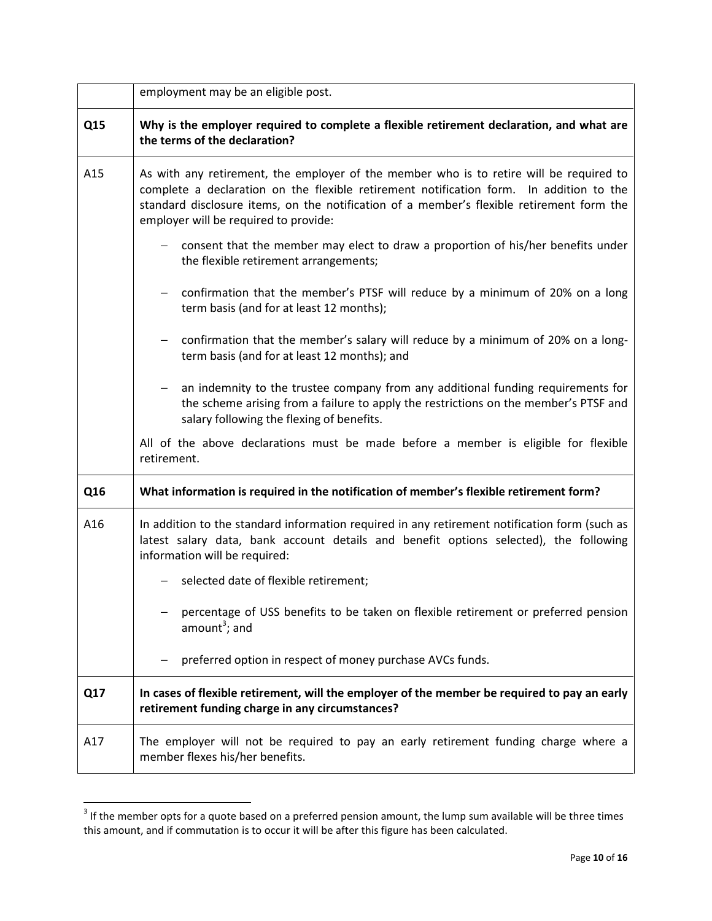|     | employment may be an eligible post.                                                                                                                                                                                                                                                                                      |
|-----|--------------------------------------------------------------------------------------------------------------------------------------------------------------------------------------------------------------------------------------------------------------------------------------------------------------------------|
| Q15 | Why is the employer required to complete a flexible retirement declaration, and what are<br>the terms of the declaration?                                                                                                                                                                                                |
| A15 | As with any retirement, the employer of the member who is to retire will be required to<br>complete a declaration on the flexible retirement notification form. In addition to the<br>standard disclosure items, on the notification of a member's flexible retirement form the<br>employer will be required to provide: |
|     | consent that the member may elect to draw a proportion of his/her benefits under<br>the flexible retirement arrangements;                                                                                                                                                                                                |
|     | confirmation that the member's PTSF will reduce by a minimum of 20% on a long<br>term basis (and for at least 12 months);                                                                                                                                                                                                |
|     | confirmation that the member's salary will reduce by a minimum of 20% on a long-<br>$-$<br>term basis (and for at least 12 months); and                                                                                                                                                                                  |
|     | an indemnity to the trustee company from any additional funding requirements for<br>the scheme arising from a failure to apply the restrictions on the member's PTSF and<br>salary following the flexing of benefits.                                                                                                    |
|     | All of the above declarations must be made before a member is eligible for flexible<br>retirement.                                                                                                                                                                                                                       |
| Q16 | What information is required in the notification of member's flexible retirement form?                                                                                                                                                                                                                                   |
| A16 | In addition to the standard information required in any retirement notification form (such as<br>latest salary data, bank account details and benefit options selected), the following<br>information will be required:                                                                                                  |
|     | selected date of flexible retirement;                                                                                                                                                                                                                                                                                    |
|     | percentage of USS benefits to be taken on flexible retirement or preferred pension<br>amount <sup>3</sup> ; and                                                                                                                                                                                                          |
|     | preferred option in respect of money purchase AVCs funds.                                                                                                                                                                                                                                                                |
| Q17 | In cases of flexible retirement, will the employer of the member be required to pay an early<br>retirement funding charge in any circumstances?                                                                                                                                                                          |
| A17 | The employer will not be required to pay an early retirement funding charge where a<br>member flexes his/her benefits.                                                                                                                                                                                                   |

<sup>&</sup>lt;sup>3</sup> If the member opts for a quote based on a preferred pension amount, the lump sum available will be three times this amount, and if commutation is to occur it will be after this figure has been calculated.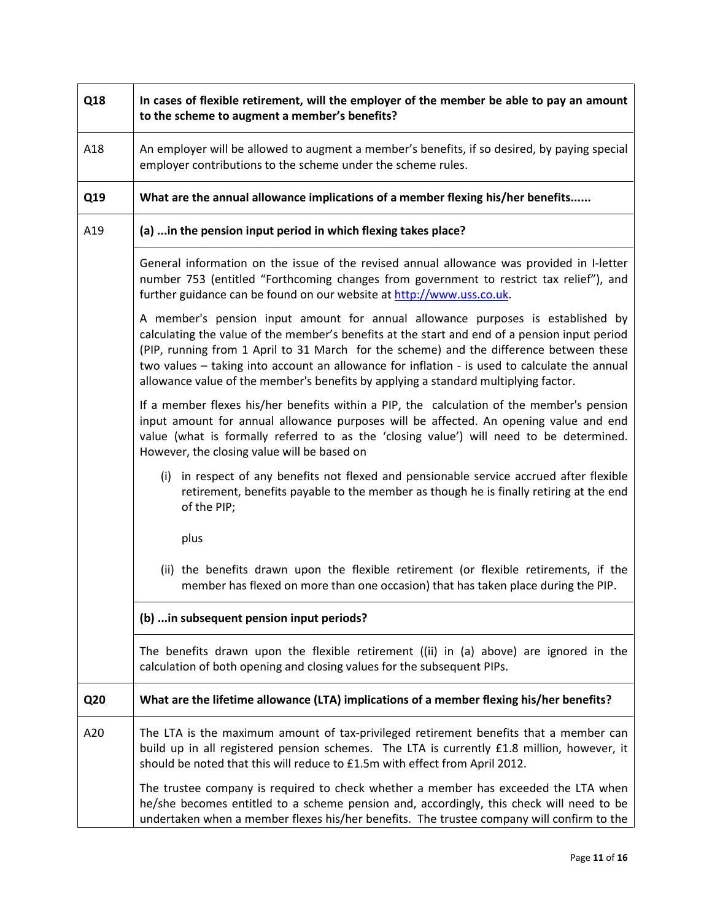| Q18 | In cases of flexible retirement, will the employer of the member be able to pay an amount<br>to the scheme to augment a member's benefits?                                                                                                                                                                                                                                                                                                                          |  |  |  |
|-----|---------------------------------------------------------------------------------------------------------------------------------------------------------------------------------------------------------------------------------------------------------------------------------------------------------------------------------------------------------------------------------------------------------------------------------------------------------------------|--|--|--|
| A18 | An employer will be allowed to augment a member's benefits, if so desired, by paying special<br>employer contributions to the scheme under the scheme rules.                                                                                                                                                                                                                                                                                                        |  |  |  |
| Q19 | What are the annual allowance implications of a member flexing his/her benefits                                                                                                                                                                                                                                                                                                                                                                                     |  |  |  |
| A19 | (a)  in the pension input period in which flexing takes place?                                                                                                                                                                                                                                                                                                                                                                                                      |  |  |  |
|     | General information on the issue of the revised annual allowance was provided in I-letter<br>number 753 (entitled "Forthcoming changes from government to restrict tax relief"), and<br>further guidance can be found on our website at http://www.uss.co.uk.                                                                                                                                                                                                       |  |  |  |
|     | A member's pension input amount for annual allowance purposes is established by<br>calculating the value of the member's benefits at the start and end of a pension input period<br>(PIP, running from 1 April to 31 March for the scheme) and the difference between these<br>two values - taking into account an allowance for inflation - is used to calculate the annual<br>allowance value of the member's benefits by applying a standard multiplying factor. |  |  |  |
|     | If a member flexes his/her benefits within a PIP, the calculation of the member's pension<br>input amount for annual allowance purposes will be affected. An opening value and end<br>value (what is formally referred to as the 'closing value') will need to be determined.<br>However, the closing value will be based on                                                                                                                                        |  |  |  |
|     | (i) in respect of any benefits not flexed and pensionable service accrued after flexible<br>retirement, benefits payable to the member as though he is finally retiring at the end<br>of the PIP;                                                                                                                                                                                                                                                                   |  |  |  |
|     | plus                                                                                                                                                                                                                                                                                                                                                                                                                                                                |  |  |  |
|     | (ii) the benefits drawn upon the flexible retirement (or flexible retirements, if the<br>member has flexed on more than one occasion) that has taken place during the PIP.                                                                                                                                                                                                                                                                                          |  |  |  |
|     | (b)  in subsequent pension input periods?                                                                                                                                                                                                                                                                                                                                                                                                                           |  |  |  |
|     | The benefits drawn upon the flexible retirement ((ii) in (a) above) are ignored in the<br>calculation of both opening and closing values for the subsequent PIPs.                                                                                                                                                                                                                                                                                                   |  |  |  |
| Q20 | What are the lifetime allowance (LTA) implications of a member flexing his/her benefits?                                                                                                                                                                                                                                                                                                                                                                            |  |  |  |
| A20 | The LTA is the maximum amount of tax-privileged retirement benefits that a member can<br>build up in all registered pension schemes. The LTA is currently £1.8 million, however, it<br>should be noted that this will reduce to £1.5m with effect from April 2012.                                                                                                                                                                                                  |  |  |  |
|     | The trustee company is required to check whether a member has exceeded the LTA when<br>he/she becomes entitled to a scheme pension and, accordingly, this check will need to be<br>undertaken when a member flexes his/her benefits. The trustee company will confirm to the                                                                                                                                                                                        |  |  |  |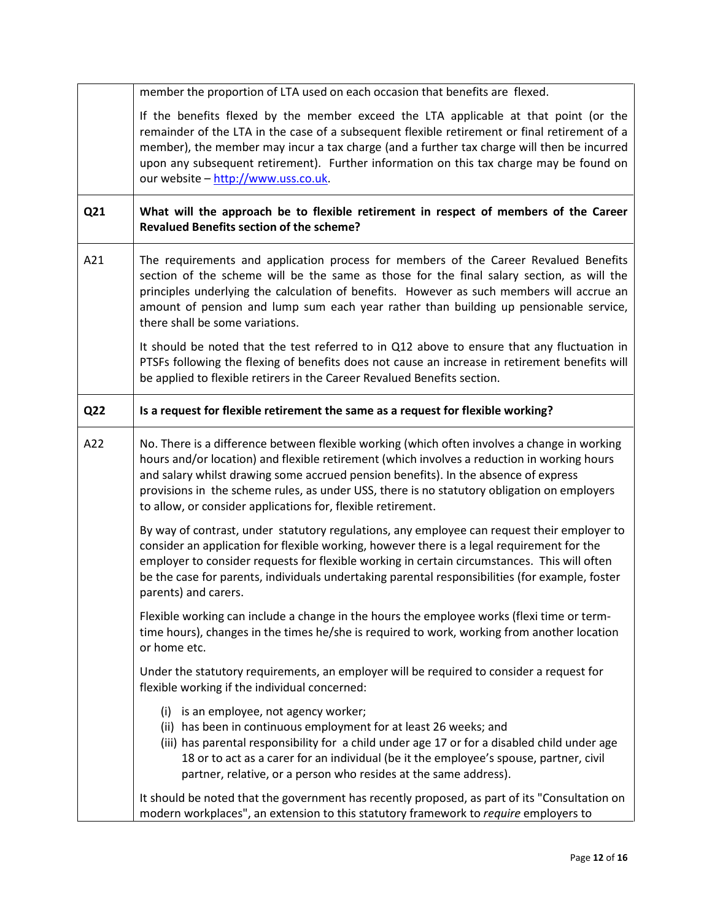|     | member the proportion of LTA used on each occasion that benefits are flexed.                                                                                                                                                                                                                                                                                                                                                                      |  |  |
|-----|---------------------------------------------------------------------------------------------------------------------------------------------------------------------------------------------------------------------------------------------------------------------------------------------------------------------------------------------------------------------------------------------------------------------------------------------------|--|--|
|     | If the benefits flexed by the member exceed the LTA applicable at that point (or the<br>remainder of the LTA in the case of a subsequent flexible retirement or final retirement of a<br>member), the member may incur a tax charge (and a further tax charge will then be incurred<br>upon any subsequent retirement). Further information on this tax charge may be found on<br>our website - http://www.uss.co.uk.                             |  |  |
| Q21 | What will the approach be to flexible retirement in respect of members of the Career<br><b>Revalued Benefits section of the scheme?</b>                                                                                                                                                                                                                                                                                                           |  |  |
| A21 | The requirements and application process for members of the Career Revalued Benefits<br>section of the scheme will be the same as those for the final salary section, as will the<br>principles underlying the calculation of benefits. However as such members will accrue an<br>amount of pension and lump sum each year rather than building up pensionable service,<br>there shall be some variations.                                        |  |  |
|     | It should be noted that the test referred to in Q12 above to ensure that any fluctuation in<br>PTSFs following the flexing of benefits does not cause an increase in retirement benefits will<br>be applied to flexible retirers in the Career Revalued Benefits section.                                                                                                                                                                         |  |  |
| Q22 | Is a request for flexible retirement the same as a request for flexible working?                                                                                                                                                                                                                                                                                                                                                                  |  |  |
| A22 | No. There is a difference between flexible working (which often involves a change in working<br>hours and/or location) and flexible retirement (which involves a reduction in working hours<br>and salary whilst drawing some accrued pension benefits). In the absence of express<br>provisions in the scheme rules, as under USS, there is no statutory obligation on employers<br>to allow, or consider applications for, flexible retirement. |  |  |
|     | By way of contrast, under statutory regulations, any employee can request their employer to<br>consider an application for flexible working, however there is a legal requirement for the<br>employer to consider requests for flexible working in certain circumstances. This will often<br>be the case for parents, individuals undertaking parental responsibilities (for example, foster<br>parents) and carers.                              |  |  |
|     | Flexible working can include a change in the hours the employee works (flexi time or term-<br>time hours), changes in the times he/she is required to work, working from another location<br>or home etc.                                                                                                                                                                                                                                         |  |  |
|     | Under the statutory requirements, an employer will be required to consider a request for<br>flexible working if the individual concerned:                                                                                                                                                                                                                                                                                                         |  |  |
|     | (i) is an employee, not agency worker;<br>(ii) has been in continuous employment for at least 26 weeks; and<br>(iii) has parental responsibility for a child under age 17 or for a disabled child under age<br>18 or to act as a carer for an individual (be it the employee's spouse, partner, civil<br>partner, relative, or a person who resides at the same address).                                                                         |  |  |
|     | It should be noted that the government has recently proposed, as part of its "Consultation on<br>modern workplaces", an extension to this statutory framework to require employers to                                                                                                                                                                                                                                                             |  |  |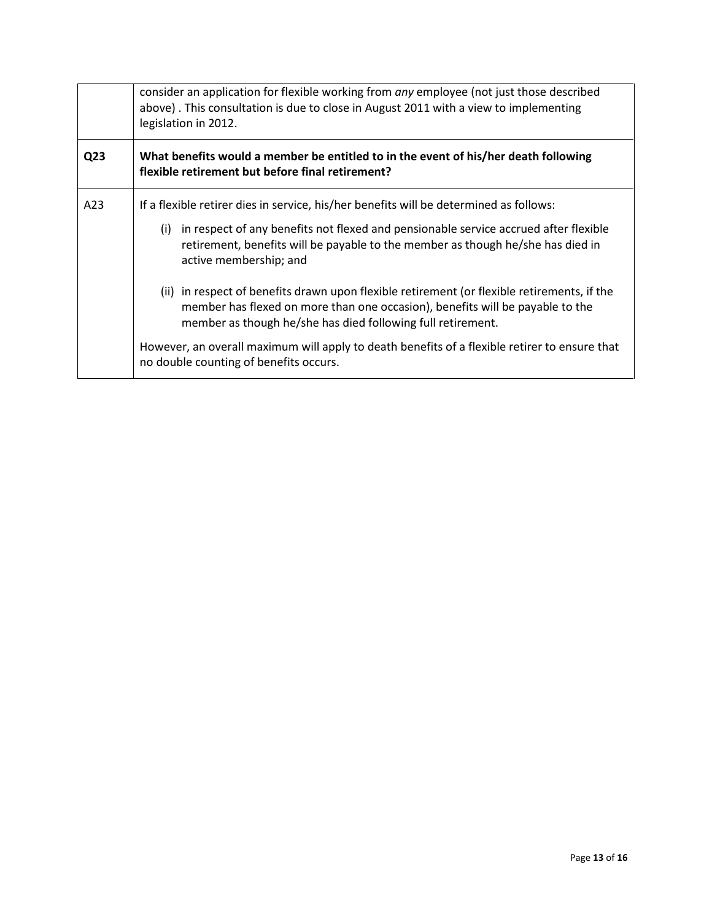|                 | consider an application for flexible working from any employee (not just those described<br>above). This consultation is due to close in August 2011 with a view to implementing<br>legislation in 2012.                                                                                                                                                                                                                                                                                                                                                                                                                                           |  |  |  |  |
|-----------------|----------------------------------------------------------------------------------------------------------------------------------------------------------------------------------------------------------------------------------------------------------------------------------------------------------------------------------------------------------------------------------------------------------------------------------------------------------------------------------------------------------------------------------------------------------------------------------------------------------------------------------------------------|--|--|--|--|
| Q <sub>23</sub> | What benefits would a member be entitled to in the event of his/her death following<br>flexible retirement but before final retirement?                                                                                                                                                                                                                                                                                                                                                                                                                                                                                                            |  |  |  |  |
| A23             | If a flexible retirer dies in service, his/her benefits will be determined as follows:<br>in respect of any benefits not flexed and pensionable service accrued after flexible<br>(i)<br>retirement, benefits will be payable to the member as though he/she has died in<br>active membership; and<br>(ii) in respect of benefits drawn upon flexible retirement (or flexible retirements, if the<br>member has flexed on more than one occasion), benefits will be payable to the<br>member as though he/she has died following full retirement.<br>However, an overall maximum will apply to death benefits of a flexible retirer to ensure that |  |  |  |  |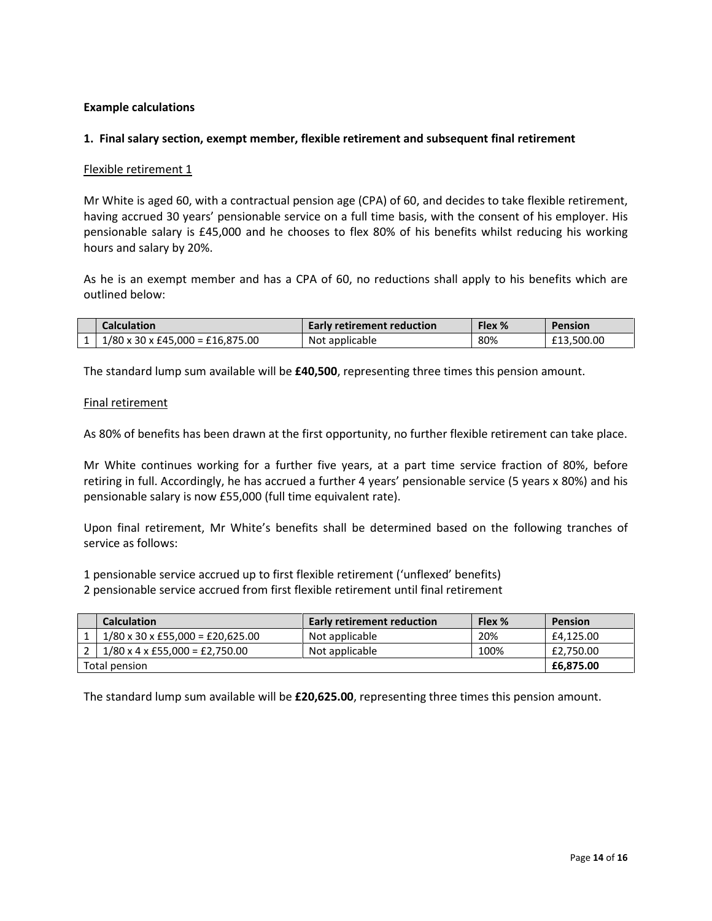#### Example calculations

#### 1. Final salary section, exempt member, flexible retirement and subsequent final retirement

#### Flexible retirement 1

Mr White is aged 60, with a contractual pension age (CPA) of 60, and decides to take flexible retirement, having accrued 30 years' pensionable service on a full time basis, with the consent of his employer. His pensionable salary is £45,000 and he chooses to flex 80% of his benefits whilst reducing his working hours and salary by 20%.

As he is an exempt member and has a CPA of 60, no reductions shall apply to his benefits which are outlined below:

| Calculation                      | <b>Early retirement reduction</b> | Flex % | Pension    |
|----------------------------------|-----------------------------------|--------|------------|
| 1/80 x 30 x £45.000 = £16.875.00 | Not applicable                    | 80%    | £13.500.00 |

The standard lump sum available will be £40,500, representing three times this pension amount.

#### Final retirement

As 80% of benefits has been drawn at the first opportunity, no further flexible retirement can take place.

Mr White continues working for a further five years, at a part time service fraction of 80%, before retiring in full. Accordingly, he has accrued a further 4 years' pensionable service (5 years x 80%) and his pensionable salary is now £55,000 (full time equivalent rate).

Upon final retirement, Mr White's benefits shall be determined based on the following tranches of service as follows:

1 pensionable service accrued up to first flexible retirement ('unflexed' benefits)

2 pensionable service accrued from first flexible retirement until final retirement

|               | <b>Calculation</b>                         | <b>Early retirement reduction</b> | Flex % | <b>Pension</b> |
|---------------|--------------------------------------------|-----------------------------------|--------|----------------|
|               | $1/80 \times 30 \times 55,000 = 20,625.00$ | Not applicable                    | 20%    | £4.125.00      |
|               | $1/80 \times 4 \times 155,000 = 12,750.00$ | Not applicable                    | 100%   | £2,750.00      |
| Total pension | £6,875.00                                  |                                   |        |                |

The standard lump sum available will be £20,625.00, representing three times this pension amount.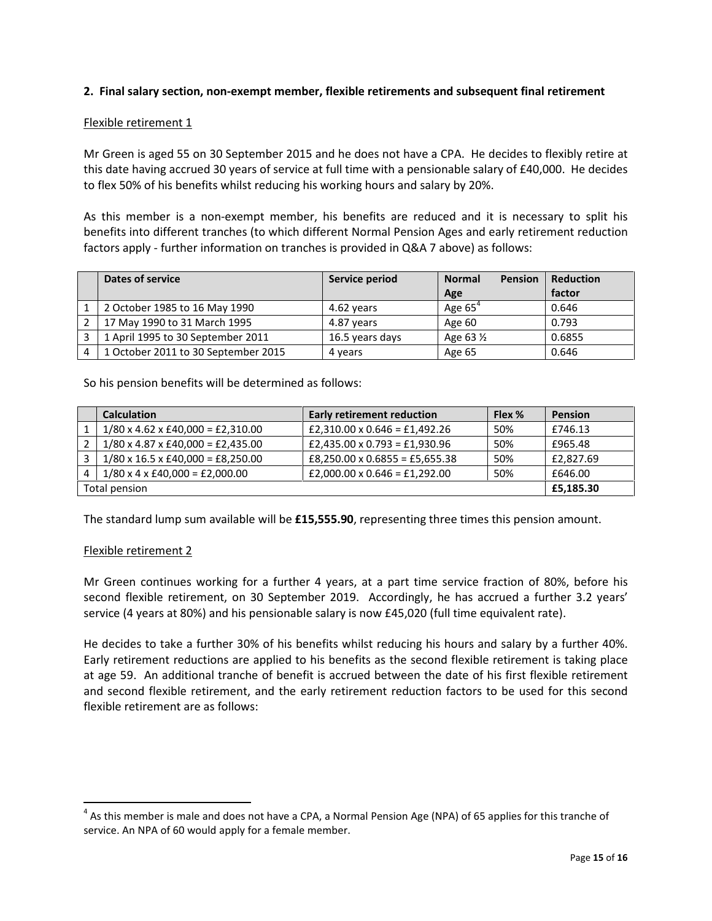#### 2. Final salary section, non-exempt member, flexible retirements and subsequent final retirement

#### Flexible retirement 1

Mr Green is aged 55 on 30 September 2015 and he does not have a CPA. He decides to flexibly retire at this date having accrued 30 years of service at full time with a pensionable salary of £40,000. He decides to flex 50% of his benefits whilst reducing his working hours and salary by 20%.

As this member is a non-exempt member, his benefits are reduced and it is necessary to split his benefits into different tranches (to which different Normal Pension Ages and early retirement reduction factors apply - further information on tranches is provided in Q&A 7 above) as follows:

| Dates of service                    | Service period  | <b>Pension</b><br><b>Normal</b><br>Age | <b>Reduction</b><br>factor |
|-------------------------------------|-----------------|----------------------------------------|----------------------------|
| 2 October 1985 to 16 May 1990       | 4.62 years      | Age $65^4$                             | 0.646                      |
| 17 May 1990 to 31 March 1995        | 4.87 years      | Age 60                                 | 0.793                      |
| 1 April 1995 to 30 September 2011   | 16.5 years days | Age 63 1/2                             | 0.6855                     |
| 1 October 2011 to 30 September 2015 | 4 years         | Age 65                                 | 0.646                      |

So his pension benefits will be determined as follows:

|               | <b>Calculation</b>                            | <b>Early retirement reduction</b> | Flex % | <b>Pension</b> |
|---------------|-----------------------------------------------|-----------------------------------|--------|----------------|
|               | $1/80 \times 4.62 \times 40,000 = £2,310.00$  | £2,310.00 x 0.646 = £1,492.26     | 50%    | £746.13        |
|               | $1/80 \times 4.87 \times 40,000 = £2,435.00$  | £2,435.00 x 0.793 = £1,930.96     | 50%    | £965.48        |
|               | $1/80 \times 16.5 \times 140,000 = 18,250.00$ | £8,250.00 x 0.6855 = £5,655.38    | 50%    | £2.827.69      |
|               | $1/80 \times 4 \times 40,000 = £2,000.00$     | £2,000.00 x 0.646 = £1,292.00     | 50%    | £646.00        |
| Total pension | £5.185.30                                     |                                   |        |                |

The standard lump sum available will be £15,555.90, representing three times this pension amount.

#### Flexible retirement 2

l

Mr Green continues working for a further 4 years, at a part time service fraction of 80%, before his second flexible retirement, on 30 September 2019. Accordingly, he has accrued a further 3.2 years' service (4 years at 80%) and his pensionable salary is now £45,020 (full time equivalent rate).

He decides to take a further 30% of his benefits whilst reducing his hours and salary by a further 40%. Early retirement reductions are applied to his benefits as the second flexible retirement is taking place at age 59. An additional tranche of benefit is accrued between the date of his first flexible retirement and second flexible retirement, and the early retirement reduction factors to be used for this second flexible retirement are as follows:

 $^4$  As this member is male and does not have a CPA, a Normal Pension Age (NPA) of 65 applies for this tranche of service. An NPA of 60 would apply for a female member.